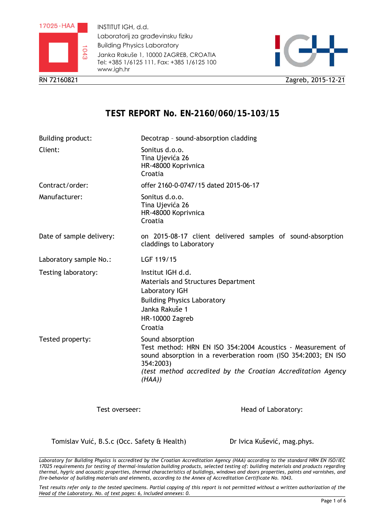

INSTITUT IGH, d.d. Laboratorij za građevinsku fiziku Building Physics Laboratory Janka Rakuše 1, 10000 ZAGREB, CROATIA Tel: +385 1/6125 111, Fax: +385 1/6125 100 www.igh.hr



RN 72160821 Zagreb, 2015-12-21

# **TEST REPORT No. EN-2160/060/15-103/15**

| Building product:        | Decotrap - sound-absorption cladding                                                                                                                                                                                                    |  |
|--------------------------|-----------------------------------------------------------------------------------------------------------------------------------------------------------------------------------------------------------------------------------------|--|
| Client:                  | Sonitus d.o.o.<br>Tina Ujevića 26<br>HR-48000 Koprivnica<br>Croatia                                                                                                                                                                     |  |
| Contract/order:          | offer 2160-0-0747/15 dated 2015-06-17                                                                                                                                                                                                   |  |
| Manufacturer:            | Sonitus d.o.o.<br>Tina Ujevića 26<br>HR-48000 Koprivnica<br>Croatia                                                                                                                                                                     |  |
| Date of sample delivery: | on 2015-08-17 client delivered samples of sound-absorption<br>claddings to Laboratory                                                                                                                                                   |  |
| Laboratory sample No.:   | LGF 119/15                                                                                                                                                                                                                              |  |
| Testing laboratory:      | Institut IGH d.d.<br>Materials and Structures Department<br>Laboratory IGH<br><b>Building Physics Laboratory</b><br>Janka Rakuše 1<br>HR-10000 Zagreb<br>Croatia                                                                        |  |
| Tested property:         | Sound absorption<br>Test method: HRN EN ISO 354:2004 Acoustics - Measurement of<br>sound absorption in a reverberation room (ISO 354:2003; EN ISO<br>354:2003)<br>(test method accredited by the Croatian Accreditation Agency<br>(HAA) |  |

Test overseer:

Head of Laboratory:

Tomislav Vuić, B.S.c (Occ. Safety & Health)

Dr Ivica Kušević, mag.phys.

*Laboratory for Building Physics is accredited by the Croatian Accreditation Agency (HAA) according to the standard HRN EN ISO/IEC 17025 requirements for testing of thermal-insulation building products, selected testing of: building materials and products regarding thermal, hygric and acoustic properties, thermal characteristics of buildings, windows and doors properties, paints and varnishes, and fire-behavior of building materials and elements, according to the Annex of Accreditation Certificate No. 1043.* 

*Test results refer only to the tested specimens. Partial copying of this report is not permitted without a written authorization of the Head of the Laboratory. No. of text pages: 6, included annexes: 0.*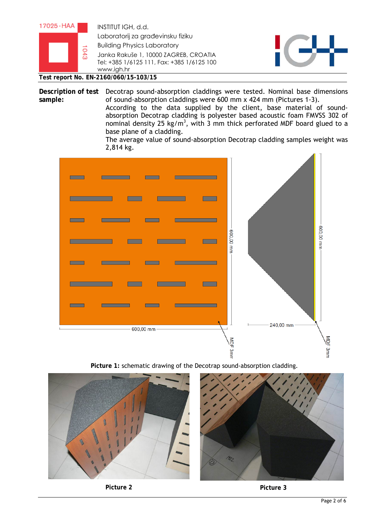

**Test report No. EN-2160/060/15-103/15** 

Description of test Decotrap sound-absorption claddings were tested. Nominal base dimensions **sample:**  of sound-absorption claddings were 600 mm x 424 mm (Pictures 1-3). According to the data supplied by the client, base material of soundabsorption Decotrap cladding is polyester based acoustic foam FMVSS 302 of nominal density 25 kg/m<sup>3</sup>, with 3 mm thick perforated MDF board glued to a base plane of a cladding.

> The average value of sound-absorption Decotrap cladding samples weight was 2,814 kg.



**Picture 1:** schematic drawing of the Decotrap sound-absorption cladding.

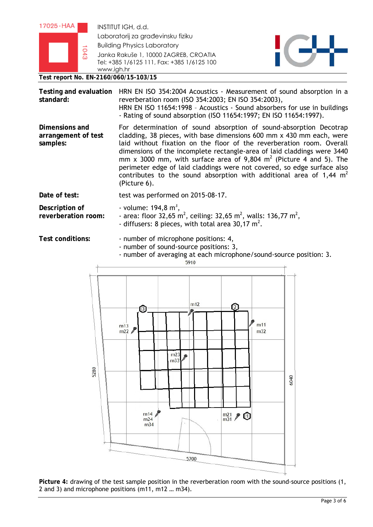| $17025 \cdot HAA$ |   | INSTITUT IGH, d.d.                                                                                               |  |
|-------------------|---|------------------------------------------------------------------------------------------------------------------|--|
|                   | る | Laboratorij za građevinsku fiziku<br><b>Building Physics Laboratory</b><br>Janka Rakuše 1, 10000 ZAGREB, CROATIA |  |
|                   |   | Tel: +385 1/6125 111, Fax: +385 1/6125 100<br>www.jah.hr                                                         |  |
|                   |   | Test report No. EN-2160/060/15-103/15                                                                            |  |

| Testing and evaluation<br>standard:               | HRN EN ISO 354:2004 Acoustics - Measurement of sound absorption in a<br>reverberation room (ISO 354:2003; EN ISO 354:2003),<br>HRN EN ISO 11654:1998 - Acoustics - Sound absorbers for use in buildings<br>- Rating of sound absorption (ISO 11654:1997; EN ISO 11654:1997).                                                                                                                                                                                                                                                               |  |
|---------------------------------------------------|--------------------------------------------------------------------------------------------------------------------------------------------------------------------------------------------------------------------------------------------------------------------------------------------------------------------------------------------------------------------------------------------------------------------------------------------------------------------------------------------------------------------------------------------|--|
| Dimensions and<br>arrangement of test<br>samples: | For determination of sound absorption of sound-absorption Decotrap<br>cladding, 38 pieces, with base dimensions 600 mm x 430 mm each, were<br>laid without fixation on the floor of the reverberation room. Overall<br>dimensions of the incomplete rectangle-area of laid claddings were 3440<br>mm x 3000 mm, with surface area of 9,804 $m2$ (Picture 4 and 5). The<br>perimeter edge of laid claddings were not covered, so edge surface also<br>contributes to the sound absorption with additional area of 1,44 $m2$<br>(Picture 6). |  |
| Date of test:                                     | test was performed on 2015-08-17.                                                                                                                                                                                                                                                                                                                                                                                                                                                                                                          |  |
| Description of<br>reverberation room:             | - volume: $194,8 \text{ m}^3$ ,<br>- area: floor 32,65 m <sup>2</sup> , ceiling: 32,65 m <sup>2</sup> , walls: 136,77 m <sup>2</sup> ,<br>- diffusers: 8 pieces, with total area 30,17 $m^2$ .                                                                                                                                                                                                                                                                                                                                             |  |

**Test conditions:** - number of microphone positions: 4,

- number of sound-source positions: 3,
- number of averaging at each microphone/sound-source position: 3.



**Picture 4:** drawing of the test sample position in the reverberation room with the sound-source positions (1, 2 and 3) and microphone positions (m11, m12 … m34).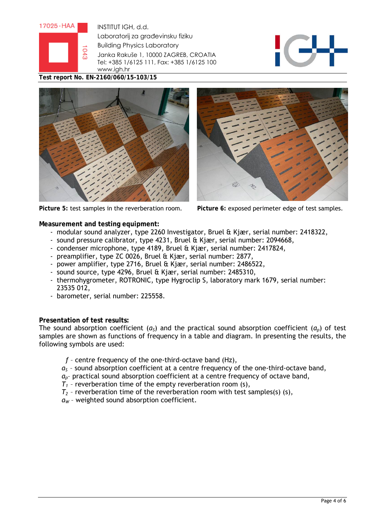

INSTITUT IGH, d.d. Laboratorij za građevinsku fiziku Building Physics Laboratory Janka Rakuše 1, 10000 ZAGREB, CROATIA Tel: +385 1/6125 111, Fax: +385 1/6125 100 www.igh.hr



**Test report No. EN-2160/060/15-103/15** 







**Picture 5:** test samples in the reverberation room. **Picture 6:** exposed perimeter edge of test samples.

**Measurement and testing equipment:** 

- modular sound analyzer, type 2260 Investigator, Bruel & Kjær, serial number: 2418322,
- sound pressure calibrator, type 4231, Bruel & Kjær, serial number: 2094668,
- condenser microphone, type 4189, Bruel & Kjær, serial number: 2417824,
- preamplifier, type ZC 0026, Bruel & Kjær, serial number: 2877,
- power amplifier, type 2716, Bruel & Kjær, serial number: 2486522,
- sound source, type 4296, Bruel & Kjær, serial number: 2485310,
- thermohygrometer, ROTRONIC, type Hygroclip S, laboratory mark 1679, serial number: 23535 012,
- barometer, serial number: 225558.

### **Presentation of test results:**

The sound absorption coefficient (*αS*) and the practical sound absorption coefficient (*αp*) of test samples are shown as functions of frequency in a table and diagram. In presenting the results, the following symbols are used:

- *f*  centre frequency of the one-third-octave band (Hz),
- *α<sup>S</sup>* sound absorption coefficient at a centre frequency of the one-third-octave band,
- *αp* practical sound absorption coefficient at a centre frequency of octave band,
- $T_1$  reverberation time of the empty reverberation room (s),
- $T_2$  reverberation time of the reverberation room with test samples(s) (s),
- *αW* weighted sound absorption coefficient.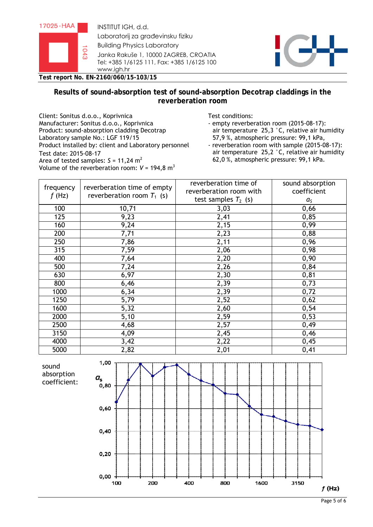



**Test report No. EN-2160/060/15-103/15** 

## **Results of sound-absorption test of sound-absorption Decotrap claddings in the reverberation room**

Client: Sonitus d.o.o., Koprivnica Test conditions: Manufacturer: Sonitus d.o.o., Koprivnica Product: sound-absorption cladding Decotrap Laboratory sample No.: LGF 119/15 Product installed by: client and Laboratory personnel Test date: 2015-08-17 Area of tested samples:  $S = 11,24 \text{ m}^2$ Volume of the reverberation room:  $V = 194.8 \text{ m}^3$ 

- empty reverberation room (2015-08-17): air temperature 25,3 °C, relative air humidity 57,9 %, atmospheric pressure: 99,1 kPa,
- reverberation room with sample (2015-08-17): air temperature 25,2 °C, relative air humidity 62,0 %, atmospheric pressure: 99,1 kPa.

| frequency<br>$f$ (Hz) | reverberation time of empty<br>reverberation room $T_1$ (s) | reverberation time of<br>reverberation room with<br>test samples $T_2$ (s) | sound absorption<br>coefficient<br>$a_{\mathsf{S}}$ |
|-----------------------|-------------------------------------------------------------|----------------------------------------------------------------------------|-----------------------------------------------------|
| 100                   | 10,71                                                       | 3,03                                                                       | 0,66                                                |
| 125                   | 9,23                                                        | 2,41                                                                       | 0,85                                                |
| 160                   | 9,24                                                        | 2,15                                                                       | 0,99                                                |
| 200                   | 7,71                                                        | 2,23                                                                       | 0,88                                                |
| 250                   | 7,86                                                        | 2,11                                                                       | 0,96                                                |
| 315                   | 7,59                                                        | 2,06                                                                       | 0,98                                                |
| 400                   | 7,64                                                        | 2,20                                                                       | 0,90                                                |
| 500                   | 7,24                                                        | 2,26                                                                       | 0,84                                                |
| 630                   | 6,97                                                        | 2,30                                                                       | 0,81                                                |
| 800                   | 6,46                                                        | 2,39                                                                       | 0,73                                                |
| 1000                  | 6,34                                                        | 2,39                                                                       | 0,72                                                |
| 1250                  | $\overline{5,79}$                                           | 2,52                                                                       | 0,62                                                |
| 1600                  | 5,32                                                        | 2,60                                                                       | 0,54                                                |
| 2000                  | 5,10                                                        | 2,59                                                                       | 0,53                                                |
| 2500                  | 4,68                                                        | 2,57                                                                       | 0,49                                                |
| 3150                  | 4,09                                                        | $\overline{2,45}$                                                          | 0,46                                                |
| 4000                  | 3,42                                                        | 2,22                                                                       | 0,45                                                |
| 5000                  | 2,82                                                        | 2,01                                                                       | 0,41                                                |

sound absorption coefficient: